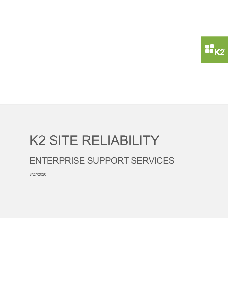

# K2 SITE RELIABILITY ENTERPRISE SUPPORT SERVICES

3/27/2020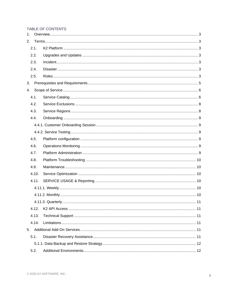#### TABLE OF CONTENTS

| 1.   |       |  |  |  |
|------|-------|--|--|--|
| 2.   |       |  |  |  |
|      | 2.1.  |  |  |  |
| 2.2. |       |  |  |  |
|      | 2.3.  |  |  |  |
|      | 2.4.  |  |  |  |
|      | 2.5.  |  |  |  |
| 3.   |       |  |  |  |
| 4.   |       |  |  |  |
|      | 4.1.  |  |  |  |
|      | 4.2.  |  |  |  |
|      | 4.3.  |  |  |  |
|      | 4.4.  |  |  |  |
|      |       |  |  |  |
|      |       |  |  |  |
|      | 4.5.  |  |  |  |
|      | 4.6.  |  |  |  |
|      | 4.7.  |  |  |  |
|      | 4.8.  |  |  |  |
|      | 4.9.  |  |  |  |
|      | 4.10. |  |  |  |
|      | 4.11. |  |  |  |
|      |       |  |  |  |
|      |       |  |  |  |
|      |       |  |  |  |
|      | 4.12. |  |  |  |
|      | 4.13. |  |  |  |
|      | 4.14. |  |  |  |
| 5.   |       |  |  |  |
|      | 5.1.  |  |  |  |
|      |       |  |  |  |
|      | 5.2.  |  |  |  |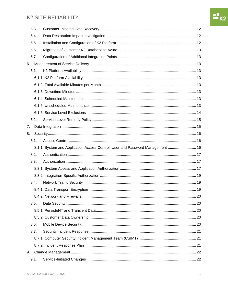| 5.3. |      |                                                                                |  |
|------|------|--------------------------------------------------------------------------------|--|
|      | 5.4. |                                                                                |  |
|      | 5.5. |                                                                                |  |
|      | 5.6. |                                                                                |  |
|      | 5.7. |                                                                                |  |
| 6.   |      |                                                                                |  |
|      | 6.1. |                                                                                |  |
|      |      |                                                                                |  |
|      |      |                                                                                |  |
|      |      |                                                                                |  |
|      |      |                                                                                |  |
|      |      |                                                                                |  |
|      |      |                                                                                |  |
|      | 6.2. |                                                                                |  |
| 7.   |      |                                                                                |  |
| 8.   |      |                                                                                |  |
|      | 8.1. |                                                                                |  |
|      |      | 8.1.1. System and Application Access Control, User and Password Management  16 |  |
|      | 8.2. |                                                                                |  |
|      | 8.3. |                                                                                |  |
|      |      |                                                                                |  |
|      |      |                                                                                |  |
|      | 8.4. |                                                                                |  |
|      |      |                                                                                |  |
|      |      |                                                                                |  |
|      | 8.5. |                                                                                |  |
|      |      |                                                                                |  |
|      |      |                                                                                |  |
|      | 8.6. |                                                                                |  |
|      | 8.7. |                                                                                |  |
|      |      |                                                                                |  |
|      |      |                                                                                |  |
| 9.   |      |                                                                                |  |
|      | 9.1. |                                                                                |  |

 $\sqrt{2}$ 

**H**K2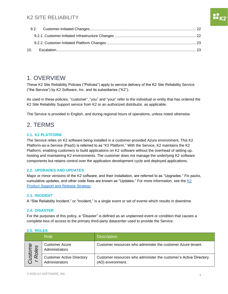### <span id="page-3-0"></span>1. OVERVIEW

These K2 Site Reliability Policies ("Policies") apply to service delivery of the K2 Site Reliability Service ("the Service") by K2 Software, Inc. and its subsidiaries ("K2").

As used in these policies, "customer", "you" and "your" refer to the individual or entity that has ordered the K2 Site Reliability Support service from K2 or an authorized distributor, as applicable.

The Service is provided in English, and during regional hours of operations, unless noted otherwise.

# <span id="page-3-1"></span>2. TERMS

#### <span id="page-3-2"></span>**2.1. K2 PLATFORM**

The Service relies on K2 software being installed in a customer-provided Azure environment. This K2 Platform-as-a-Service (PaaS) is referred to as "K2 Platform." With the Service, K2 maintains the K2 Platform, enabling customers to build applications on K2 software without the overhead of setting up, hosting and maintaining K2 environments. The customer does not manage the underlying K2 software components but retains control over the application development cycle and deployed applications.

#### <span id="page-3-3"></span>**2.2. UPGRADES AND UPDATES**

Major or minor versions of the K2 software, and their installation, are referred to as "Upgrades." Fix packs, cumulative updates, and other code fixes are known as "Updates." For more information, see the  $K2$ [Product Support and Release Strategy.](https://help.k2.com/k2releasestrategy#K2Version)

#### <span id="page-3-4"></span>**2.3. INCIDENT**

A "Site Reliability Incident," or "Incident," is a single event or set of events which results in downtime.

#### <span id="page-3-5"></span>**2.4. DISASTER**

For the purposes of this policy, a "Disaster" is defined as an unplanned event or condition that causes a complete loss of access to the primary third-party datacenter used to provide the Service.

#### <span id="page-3-6"></span>**2.5. ROLES**

| <b>Role</b>   |                                                    | <b>Description</b>                                                                     |
|---------------|----------------------------------------------------|----------------------------------------------------------------------------------------|
| me<br>es      | <b>Customer Azure</b><br>Administrators            | Customer resources who administer the customer Azure tenant.                           |
| ustol<br>Role | <b>Customer Active Directory</b><br>Administrators | Customer resources who administer the customer's Active Directory<br>(AD) environment. |

nu<br>Hiv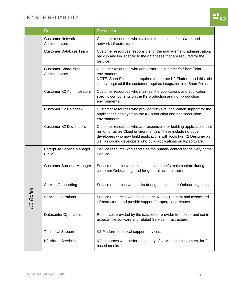

| Role    |                                              | <b>Description</b>                                                                                                                                                                                                                                                                 |
|---------|----------------------------------------------|------------------------------------------------------------------------------------------------------------------------------------------------------------------------------------------------------------------------------------------------------------------------------------|
|         | <b>Customer Network</b><br>Administrators    | Customer resources who maintain the customer's network and<br>network infrastructure.                                                                                                                                                                                              |
|         | <b>Customer Database Team</b>                | Customer resources responsible for the management, administration,<br>backup and DR specific to the databases that are required for the<br>Service.                                                                                                                                |
|         | <b>Customer SharePoint</b><br>Administrators | Customer resources who administer the customer's SharePoint<br>environment.<br>NOTE: SharePoint is not required to operate K2 Platform and this role<br>is only required if the customer requires integration into SharePoint.                                                     |
|         | <b>Customer K2 Administrators</b>            | Customer resources who maintain the applications and application-<br>specific components on the K2 production and non-production<br>environments.                                                                                                                                  |
|         | Customer K2 Helpdesk                         | Customer resources who provide first-level application support for the<br>applications deployed on the K2 production and non-production<br>environments.                                                                                                                           |
|         | <b>Customer K2 Developers</b>                | Customer resources who are responsible for building applications that<br>run on or utilize Cloud environment(s). These include no-code<br>developers who may build applications with tools like K2 Designer as<br>well as coding developers who build applications on K2 software. |
|         | <b>Enterprise Service Manager</b><br>(ESM)   | Service resource who serves as the primary contact for delivery of the<br>Service.                                                                                                                                                                                                 |
|         | <b>Customer Success Manager</b>              | Service resource who acts as the customer's main contact during<br>customer Onboarding, and for general account topics.                                                                                                                                                            |
| ဟ       | Service Onboarding                           | Service resources who assist during the customer Onboarding phase.                                                                                                                                                                                                                 |
| K2 Role | <b>Service Operations</b>                    | Service resources who maintain the K2 environment and associated<br>infrastructure, and provide support for operational issues.                                                                                                                                                    |
|         | <b>Datacenter Operations</b>                 | Resources provided by the datacenter provider to monitor and control<br>aspects like software and related Service infrastructure.                                                                                                                                                  |
|         | <b>Technical Support</b>                     | K2 Platform technical support services.                                                                                                                                                                                                                                            |
|         | <b>K2 Virtual Services</b>                   | K2 resources who perform a variety of services for customers, for fee-<br>based credits.                                                                                                                                                                                           |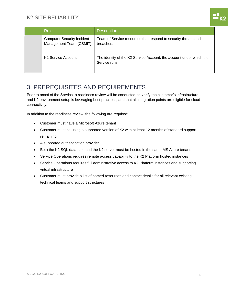| <b>Role</b>                                                  | <b>Description</b>                                                                   |
|--------------------------------------------------------------|--------------------------------------------------------------------------------------|
| <b>Computer Security Incident</b><br>Management Team (CSMIT) | Team of Service resources that respond to security threats and<br>breaches.          |
| K <sub>2</sub> Service Account                               | The identity of the K2 Service Account, the account under which the<br>Service runs. |

# <span id="page-5-0"></span>3. PREREQUISITES AND REQUIREMENTS

Prior to onset of the Service, a readiness review will be conducted, to verify the customer's infrastructure and K2 environment setup is leveraging best practices, and that all integration points are eligible for cloud connectivity.

In addition to the readiness review, the following are required:

- Customer must have a Microsoft Azure tenant
- Customer must be using a supported version of K2 with at least 12 months of standard support remaining
- A supported authentication provider
- Both the K2 SQL database and the K2 server must be hosted in the same MS Azure tenant
- Service Operations requires remote access capability to the K2 Platform hosted instances
- Service Operations requires full administrative access to K2 Platform instances and supporting virtual infrastructure
- Customer must provide a list of named resources and contact details for all relevant existing technical teams and support structures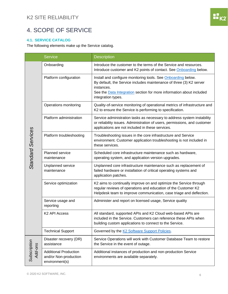# <span id="page-6-0"></span>4. SCOPE OF SERVICE

#### <span id="page-6-1"></span>**4.1. SERVICE CATALOG**

The following elements make up the Service catalog.

| <b>Service</b>           |                                                                         | <b>Description</b>                                                                                                                                                                                                                                      |  |
|--------------------------|-------------------------------------------------------------------------|---------------------------------------------------------------------------------------------------------------------------------------------------------------------------------------------------------------------------------------------------------|--|
|                          | Onboarding                                                              | Introduce the customer to the terms of the Service and resources.<br>Introduce customer and K2 points of contact. See Onboarding below.                                                                                                                 |  |
|                          | Platform configuration                                                  | Install and configure monitoring tools. See Onboarding below.<br>By default, the Service includes maintenance of three (3) K2 server<br>instances.<br>See the <b>Data Integration</b> section for more information about included<br>integration types. |  |
|                          | Operations monitoring                                                   | Quality-of-service monitoring of operational metrics of infrastructure and<br>K2 to ensure the Service is performing to specification.                                                                                                                  |  |
|                          | Platform administration                                                 | Service administration tasks as necessary to address system instability<br>or reliability issues. Administration of users, permissions, and customer<br>applications are not included in these services.                                                |  |
| <b>Standard Services</b> | Platform troubleshooting                                                | Troubleshooting issues in the core infrastructure and Service<br>environment. Customer application troubleshooting is not included in<br>these services.                                                                                                |  |
|                          | Planned service<br>maintenance                                          | Scheduled core infrastructure maintenance such as hardware,<br>operating system, and application version upgrades.                                                                                                                                      |  |
|                          | Unplanned service<br>maintenance                                        | Unplanned core infrastructure maintenance such as replacement of<br>failed hardware or installation of critical operating systems and<br>application patches.                                                                                           |  |
|                          | Service optimization                                                    | K2 aims to continually improve on and optimize the Service through<br>regular reviews of operations and education of the Customer K2<br>Helpdesk team to improve communication, case triage and deflection.                                             |  |
|                          | Service usage and<br>reporting                                          | Administer and report on licensed usage, Service quality                                                                                                                                                                                                |  |
|                          | K2 API Access                                                           | All standard, supported APIs and K2 Cloud web-based APIs are<br>included in the Service. Customers can reference these APIs when<br>building custom applications to connect to the Service.                                                             |  |
|                          | <b>Technical Support</b>                                                | Governed by the K2 Software Support Policies.                                                                                                                                                                                                           |  |
|                          | Disaster recovery (DR)<br>assistance                                    | Service Operations will work with Customer Database Team to restore<br>the Service in the event of outage.                                                                                                                                              |  |
| Subscription<br>Add-ons  | <b>Additional Production</b><br>and/or Non-production<br>environment(s) | Additional instances of production and non-production Service<br>environments are available separately.                                                                                                                                                 |  |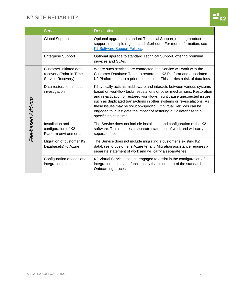| <b>Service</b>    |                                                                         | <b>Description</b>                                                                                                                                                                                                                                                                                                                                                                                                                                                      |  |
|-------------------|-------------------------------------------------------------------------|-------------------------------------------------------------------------------------------------------------------------------------------------------------------------------------------------------------------------------------------------------------------------------------------------------------------------------------------------------------------------------------------------------------------------------------------------------------------------|--|
|                   | <b>Global Support</b>                                                   | Optional upgrade to standard Technical Support, offering product<br>support in multiple regions and afterhours. For more information, see<br><b>K2 Software Support Policies</b> .                                                                                                                                                                                                                                                                                      |  |
|                   | <b>Enterprise Support</b>                                               | Optional upgrade to standard Technical Support, offering premium<br>services and SLAs.                                                                                                                                                                                                                                                                                                                                                                                  |  |
|                   | Customer-initiated data<br>recovery (Point-in-Time<br>Service Recovery) | Where such services are contracted, the Service will work with the<br>Customer Database Team to restore the K2 Platform and associated<br>K2 Platform data to a prior point in time. This carries a risk of data loss.                                                                                                                                                                                                                                                  |  |
| Fee-based Add-ons | Data restoration impact<br>investigation                                | K2 typically acts as middleware and interacts between various systems<br>based on workflow tasks, escalations or other mechanisms. Restoration<br>and re-activation of restored workflows might cause unexpected issues,<br>such as duplicated transactions in other systems or re-escalations. As<br>these issues may be solution-specific, K2 Virtual Services can be<br>engaged to investigate the impact of restoring a K2 database to a<br>specific point in time. |  |
|                   | Installation and<br>configuration of K2<br>Platform environments        | The Service does not include installation and configuration of the K2<br>software. This requires a separate statement of work and will carry a<br>separate fee.                                                                                                                                                                                                                                                                                                         |  |
|                   | Migration of customer K2<br>Database(s) to Azure                        | The Service does not include migrating a customer's existing K2<br>database to customer's Azure tenant. Migration assistance requires a<br>separate statement of work and will carry a separate fee.                                                                                                                                                                                                                                                                    |  |
|                   | Configuration of additional<br>integration points                       | K2 Virtual Services can be engaged to assist in the configuration of<br>integration points and functionality that is not part of the standard<br>Onboarding process.                                                                                                                                                                                                                                                                                                    |  |

 $\mathbf{H}$ <sub>K2</sub>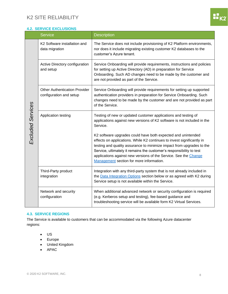

### <span id="page-8-0"></span>**4.2. SERVICE EXCLUSIONS**

| <b>Service</b>    |                                                                 | <b>Description</b>                                                                                                                                                                                                                                                                                                                                                                                      |  |
|-------------------|-----------------------------------------------------------------|---------------------------------------------------------------------------------------------------------------------------------------------------------------------------------------------------------------------------------------------------------------------------------------------------------------------------------------------------------------------------------------------------------|--|
|                   | K2 Software installation and<br>data migration                  | The Service does not include provisioning of K2 Platform environments,<br>nor does it include migrating existing customer K2 databases to the<br>customer's Azure tenant.                                                                                                                                                                                                                               |  |
|                   | Active Directory configuration<br>and setup                     | Service Onboarding will provide requirements, instructions and policies<br>for setting up Active Directory (AD) in preparation for Service<br>Onboarding. Such AD changes need to be made by the customer and<br>are not provided as part of the Service.                                                                                                                                               |  |
|                   | <b>Other Authentication Provider</b><br>configuration and setup | Service Onboarding will provide requirements for setting up supported<br>authentication providers in preparation for Service Onboarding. Such<br>changes need to be made by the customer and are not provided as part<br>of the Service.                                                                                                                                                                |  |
| Excluded Services | Application testing                                             | Testing of new or updated customer applications and testing of<br>applications against new versions of K2 software is not included in the<br>Service.                                                                                                                                                                                                                                                   |  |
|                   |                                                                 | K2 software upgrades could have both expected and unintended<br>effects on applications. While K2 continues to invest significantly in<br>testing and quality assurance to minimize impact from upgrades to the<br>Service, ultimately it remains the customer's responsibility to test<br>applications against new versions of the Service. See the Change<br>Management section for more information. |  |
|                   | Third-Party product<br>integration                              | Integration with any third-party system that is not already included in<br>the Data Integration Options section below or as agreed with K2 during<br>Service setup is not available within the Service.                                                                                                                                                                                                 |  |
|                   | Network and security<br>configuration                           | When additional advanced network or security configuration is required<br>(e.g. Kerberos setup and testing), fee-based guidance and<br>troubleshooting service will be available form K2 Virtual Services.                                                                                                                                                                                              |  |

#### <span id="page-8-1"></span>**4.3. SERVICE REGIONS**

The Service is available to customers that can be accommodated via the following Azure datacenter regions:

- US
- Europe
- United Kingdom
- APAC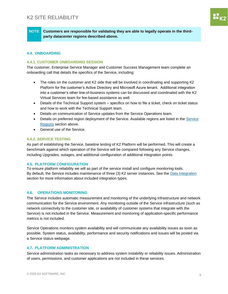**NOTE Customers are responsible for validating they are able to legally operate in the thirdparty datacenter regions described above.** 

#### <span id="page-9-0"></span>**4.4. ONBOARDING**

#### <span id="page-9-1"></span>**4.4.1. CUSTOMER ONBOARDING SESSION**

The customer, Enterprise Service Manager and Customer Success Management team complete an onboarding call that details the specifics of the Service, including:

- The roles on the customer and K2 side that will be involved in coordinating and supporting K2 Platform for the customer's Active Directory and Microsoft Azure tenant. Additional integration into a customer's other line-of-business systems can be discussed and coordinated with the K2 Virtual Services team for fee-based assistance as well.
- Details of the Technical Support system specifics on how to file a ticket, check on ticket status and how to work with the Technical Support team.
- Details on communication of Service updates from the Service Operations team.
- Details on preferred region deployment of the Service. Available regions are listed in the Service [Regions](#page-8-1) section above.
- General use of the Service.

#### <span id="page-9-2"></span>**4.4.2. SERVICE TESTING**

As part of establishing the Service, baseline testing of K2 Platform will be performed. This will create a benchmark against which operation of the Service will be compared following any Service changes, including Upgrades, outages, and additional configuration of additional integration points.

#### <span id="page-9-3"></span>**4.5. PLATFORM CONFIGURATION**

To ensure platform reliability we will as part of the service install and configure monitoring tools. By default, the Service includes maintenance of three (3) K2 server instances. See th[e Data Integration](#page-15-1) section for more information about included integration types.

#### <span id="page-9-4"></span>**4.6. OPERATIONS MONITORING**

The Service includes automatic measurement and monitoring of the underlying infrastructure and network communication for the Service environment. Any monitoring outside of the Service infrastructure (such as network connectivity to the customer site, or availability of customer systems that integrate with the Service) is not included in the Service. Measurement and monitoring of application-specific performance metrics is not included.

Service Operations monitors system availability and will communicate any availability issues as soon as possible. System status, availability, performance and security notifications and issues will be posted via a Service status webpage.

#### <span id="page-9-5"></span>**4.7. PLATFORM ADMINISTRATION**

Service administration tasks as necessary to address system instability or reliability issues. Administration of users, permissions, and customer applications are not included in these services.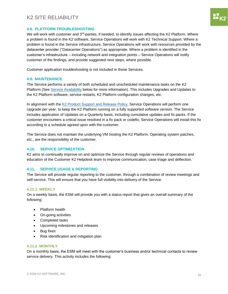#### <span id="page-10-0"></span>**4.8. PLATFORM TROUBLESHOOTING**

We will work with customer and 3<sup>rd</sup>-parties, if needed, to identify issues affecting the K2 Platform. Where a problem is found in the K2 software, Service Operations will work with K2 Technical Support. Where a problem is found in the Service infrastructure, Service Operations will work with resources provided by the datacenter provider ("Datacenter Operations") as appropriate. Where a problem is identified in the customer's infrastructure – including network and integration points – Service Operations will notify customer of the findings, and provide suggested next steps, where possible.

Customer application troubleshooting is not included in these Services.

#### <span id="page-10-1"></span>**4.9. MAINTENANCE**

The Service performs a variety of both scheduled and unscheduled maintenance tasks on the K2 Platform (See [Service Availability](#page-13-3) below for more information). This includes Upgrades and Updates to the K2 Platform software, service restarts, K2 Platform configuration changes, etc.

In alignment with the [K2 Product Support](https://help.k2.com/k2releasestrategy) and Release Policy, Service Operations will perform one Upgrade per year, to keep the K2 Platform running on a fully supported software version. The Service includes application of Updates on a Quarterly basis, including cumulative updates and fix packs. If the customer encounters a critical issue resolved in a fix pack or codefix, Service Operations will install this fix according to a schedule agreed upon with the customer.

The Service does not maintain the underlying VM hosting the K2 Platform. Operating system patches, etc., are the responsibility of the customer.

#### <span id="page-10-2"></span>**4.10. SERVICE OPTIMIZATION**

K2 aims to continually improve on and optimize the Service through regular reviews of operations and education of the Customer K2 Helpdesk team to improve communication, case triage and deflection.

#### <span id="page-10-3"></span>**4.11. SERVICE USAGE & REPORTING**

The Service will provide regular reporting to the customer, through a combination of review meetings and self-service. This will ensure that you have full visibility into delivery of the Service.

#### <span id="page-10-4"></span>**4.11.1. WEEKLY**

On a weekly basis, the ESM will provide you with a status report that gives an overall summary of the following:

- Platform health
- On-going activities
- Completed tasks
- Upcoming milestones and releases
- **Bug fixes**
- Risk identification and mitigation plan

#### <span id="page-10-5"></span>**4.11.2. MONTHLY**

On a monthly basis, the ESM will meet with the customer's business and/or technical contacts to review service delivery. This activity includes the following: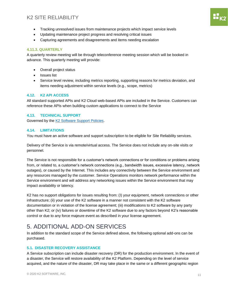- Tracking unresolved issues from maintenance projects which impact service levels
- Updating maintenance project progress and resolving critical issues
- Capturing agreements and disagreements and items needing escalation

#### <span id="page-11-0"></span>**4.11.3. QUARTERLY**

A quarterly review meeting will be through teleconference meeting session which will be booked in advance. This quarterly meeting will provide:

- Overall project status
- Issues list
- Service level review, including metrics reporting, supporting reasons for metrics deviation, and items needing adjustment within service levels (e.g., scope, metrics)

#### <span id="page-11-1"></span>**4.12. K2 API ACCESS**

All standard supported APIs and K2 Cloud web-based APIs are included in the Service. Customers can reference these APIs when building custom applications to connect to the Service

#### <span id="page-11-2"></span>**4.13. TECHNICAL SUPPORT**

Governed by th[e K2 Software Support Policies.](https://www.k2.com/legal/support-and-services-policies)

#### <span id="page-11-3"></span>**4.14. LIMITATIONS**

You must have an active software and support subscription to be eligible for Site Reliability services.

Delivery of the Service is via remote/virtual access. The Service does not include any on-site visits or personnel.

The Service is not responsible for a customer's network connections or for conditions or problems arising from, or related to, a customer's network connections (e.g., bandwidth issues, excessive latency, network outages), or caused by the Internet. This includes any connectivity between the Service environment and any resources managed by the customer. Service Operations monitors network performance within the Service environment and will address any networking issues within the Service environment that may impact availability or latency.

K2 has no support obligations for issues resulting from: (I) your equipment, network connections or other infrastructure; (ii) your use of the K2 software in a manner not consistent with the K2 software documentation or in violation of the license agreement; (iii) modifications to K2 software by any party other than K2; or (iv) failures or downtime of the K2 software due to any factors beyond K2's reasonable control or due to any force majeure event as described in your license agreement.

# <span id="page-11-4"></span>5. ADDITIONAL ADD-ON SERVICES

In addition to the standard scope of the Service defined above, the following optional add-ons can be purchased.

#### <span id="page-11-5"></span>**5.1. DISASTER RECOVERY ASSISTANCE**

A Service subscription can include disaster recovery (DR) for the production environment. In the event of a disaster, the Service will restore availability of the K2 Platform. Depending on the level of service acquired, and the nature of the disaster, DR may take place in the same or a different geographic region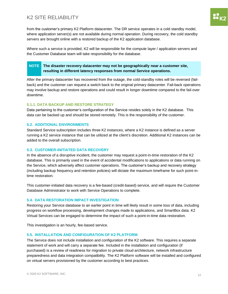from the customer's primary K2 Platform datacenter. The DR service operates in a cold standby model, where application server(s) are not available during normal operation. During recovery, the cold standby servers are brought online with a restored backup of the K2 application database.

Where such a service is provided, K2 will be responsible for the compute layer / application servers and the Customer Database team will take responsibility for the database.

#### **NOTE The disaster recovery datacenter may not be geographically near a customer site, resulting in different latency responses from normal Service operations.**

After the primary datacenter has recovered from the outage, the cold-standby roles will be reversed (failback) and the customer can request a switch back to the original primary datacenter. Fail-back operations may involve backup and restore operations and could result in longer downtime compared to the fail-over downtime.

#### <span id="page-12-0"></span>**5.1.1. DATA BACKUP AND RESTORE STRATEGY**

Data pertaining to the customer's configuration of the Service resides solely in the K2 database. This data can be backed up and should be stored remotely. This is the responsibility of the customer.

#### <span id="page-12-1"></span>**5.2. ADDITIONAL ENVIRONMENTS**

Standard Service subscription includes three K2 instances, where a K2 instance is defined as a server running a K2 service instance that can be utilized at the client's discretion. Additional K2 instances can be added to the overall subscription.

#### <span id="page-12-2"></span>**5.3. CUSTOMER-INITIATED DATA RECOVERY**

In the absence of a disruptive incident, the customer may request a point-in-time restoration of the K2 database. This is primarily used in the event of accidental modifications to applications or data running on the Service, which adversely affect customer operations. The customer's backup and recovery strategy (including backup frequency and retention policies) will dictate the maximum timeframe for such point-intime restoration.

This customer-initiated data recovery is a fee-based (credit-based) service, and will require the Customer Database Administrator to work with Service Operations to complete.

#### <span id="page-12-3"></span>**5.4. DATA RESTORATION IMPACT INVESTIGATION**

Restoring your Service database to an earlier point in time will likely result in some loss of data, including progress on workflow processing, development changes made to applications, and SmartBox data. K2 Virtual Services can be engaged to determine the impact of such a point-in-time data restoration.

This investigation is an hourly, fee-based service.

#### <span id="page-12-4"></span>**5.5. INSTALLATION AND CONFIGURATION OF K2 PLATFORM**

The Service does not include installation and configuration of the K2 software. This requires a separate statement of work and will carry a separate fee. Included in the installation and configuration (if purchased) is a review of readiness for migration to private cloud architecture, network infrastructure preparedness and data integration compatibility. The K2 Platform software will be installed and configured on virtual servers provisioned by the customer according to best practices.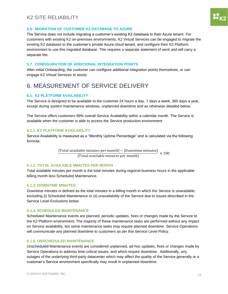#### <span id="page-13-0"></span>**5.6. MIGRATION OF CUSTOMER K2 DATABASE TO AZURE**

The Service does not include migrating a customer's existing K2 database to their Azure tenant. For customers with existing K2 on-premises environments, K2 Virtual Services can be engaged to migrate the existing K2 database to the customer's private Azure cloud tenant, and configure their K2 Platform environment to use this migrated database. This requires a separate statement of work and will carry a separate fee.

#### <span id="page-13-1"></span>**5.7. CONFIGURATION OF ADDITIONAL INTEGRATION POINTS**

After initial Onboarding, the customer can configure additional integration points themselves, or can engage K2 Virtual Services to assist.

# <span id="page-13-2"></span>6. MEASUREMENT OF SERVICE DELIVERY

#### <span id="page-13-3"></span>**6.1. K2 PLATFORM AVAILABILITY**

The Service is designed to be available to the customer 24 hours a day, 7 days a week, 365 days a year, except during system maintenance windows, unplanned downtime and as otherwise detailed below.

The Service offers customers 99% overall Service Availability within a calendar month. The Service is available when the customer is able to access the Service production environment.

#### <span id="page-13-4"></span>**6.1.1. K2 PLATFORM AVAILABILITY**

Service Availability is measured as a "Monthly Uptime Percentage" and is calculated via the following formula:

> $[Total available \, minutes \, per \, month] - [Downtime \, minutes]$ [Total available minutes per month]  $\times$  100

#### <span id="page-13-5"></span>**6.1.2. TOTAL AVAILABLE MINUTES PER MONTH**

Total available minutes per month is the total minutes during regional business hours in the applicable billing month less Scheduled Maintenance.

#### <span id="page-13-6"></span>**6.1.3. DOWNTIME MINUTES**

Downtime minutes is defined as the total minutes in a billing month in which the Service is unavailable, excluding (i) Scheduled Maintenance or (ii) unavailability of the Service due to issues described in the Service Level Exclusions below.

#### <span id="page-13-7"></span>**6.1.4. SCHEDULED MAINTENANCE**

Scheduled Maintenance events are planned, periodic updates, fixes or changes made by the Service to the K2 Platform environment. The majority of these maintenance tasks are performed without any impact on Service availability, but some maintenance tasks may require planned downtime. Service Operations will communicate any planned downtime to customers as per this Service Level Policy.

#### <span id="page-13-8"></span>**6.1.5. UNSCHEDULED MAINTENANCE**

Unscheduled Maintenance events are considered unplanned, ad-hoc updates, fixes or changes made by Service Operations to address time-critical issues, and which require downtime. Additionally, any outages of the underlying third-party datacenter which may affect the quality of the Service generally or a customer's Service environment specifically may result in unplanned downtime.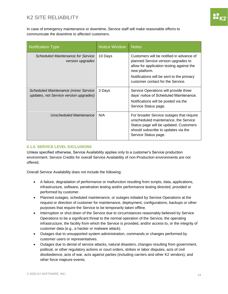In case of emergency maintenance or downtime, Service staff will make reasonable efforts to communicate the downtime to affected customers.

| <b>Notification Type</b>                                                              | <b>Notice Window</b> | <b>Notes</b>                                                                                                                                                                                                                    |
|---------------------------------------------------------------------------------------|----------------------|---------------------------------------------------------------------------------------------------------------------------------------------------------------------------------------------------------------------------------|
| Scheduled Maintenance for Service<br>version upgrades                                 | 10 Days              | Customers will be notified in advance of<br>planned Service version upgrades to<br>allow for application testing against the<br>new platform.<br>Notifications will be sent to the primary<br>customer contact for the Service. |
| <b>Scheduled Maintenance (minor Service</b><br>updates, not Service version upgrades) | 3 Days               | Service Operations will provide three<br>days' notice of Scheduled Maintenance.<br>Notifications will be posted via the<br>Service Status page.                                                                                 |
| Unscheduled Maintenance                                                               | N/A                  | For broader Service outages that require<br>unscheduled maintenance, the Service<br>Status page will be updated. Customers<br>should subscribe to updates via the<br>Service Status page.                                       |

#### <span id="page-14-0"></span>**6.1.6. SERVICE LEVEL EXCLUSIONS**

Unless specified otherwise, Service Availability applies only to a customer's Service production environment. Service Credits for overall Service Availability of non-Production environments are not offered.

Overall Service Availability does not include the following:

- A failure, degradation of performance or malfunction resulting from scripts, data, applications, infrastructure, software, penetration testing and/or performance testing directed, provided or performed by customer.
- Planned outages, scheduled maintenance, or outages initiated by Service Operations at the request or direction of customer for maintenance, deployment, configurations, backups or other purposes that require the Service to be temporarily taken offline.
- Interruption or shut down of the Service due to circumstances reasonably believed by Service Operations to be a significant threat to the normal operation of the Service, the operating infrastructure, the facility from which the Service is provided, and/or access to, or the integrity of customer data (e.g., a hacker or malware attack).
- Outages due to unsupported system administration, commands or changes performed by customer users or representatives.
- Outages due to denial of service attacks, natural disasters, changes resulting from government, political, or other regulatory actions or court orders, strikes or labor disputes, acts of civil disobedience, acts of war, acts against parties (including carriers and other K2 vendors), and other force majeure events.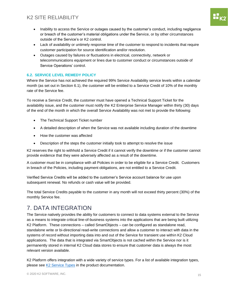- Inability to access the Service or outages caused by the customer's conduct, including negligence or breach of the customer's material obligations under the Service, or by other circumstances outside of the Service's or K2 control.
- Lack of availability or untimely response time of the customer to respond to incidents that require customer participation for source identification and/or resolution.
- Outages caused by failures or fluctuations in electrical, connectivity, network or telecommunications equipment or lines due to customer conduct or circumstances outside of Service Operations' control.

#### <span id="page-15-0"></span>**6.2. SERVICE LEVEL REMEDY POLICY**

Where the Service has not achieved the required 99% Service Availability service levels within a calendar month (as set out in Section 6.1), the customer will be entitled to a Service Credit of 10% of the monthly rate of the Service fee.

To receive a Service Credit, the customer must have opened a Technical Support Ticket for the availability issue, and the customer must notify the K2 Enterprise Service Manager within thirty (30) days of the end of the month in which the overall Service Availability was not met to provide the following:

- The Technical Support Ticket number
- A detailed description of when the Service was not available including duration of the downtime
- How the customer was affected
- Description of the steps the customer initially took to attempt to resolve the issue

K2 reserves the right to withhold a Service Credit if it cannot verify the downtime or if the customer cannot provide evidence that they were adversely affected as a result of the downtime.

A customer must be in compliance with all Policies in order to be eligible for a Service Credit. Customers in breach of the Policies, including payment obligations, are not entitled to a Service Credit.

Verified Service Credits will be added to the customer's Service account balance for use upon subsequent renewal. No refunds or cash value will be provided.

The total Service Credits payable to the customer in any month will not exceed thirty percent (30%) of the monthly Service fee.

# <span id="page-15-1"></span>7. DATA INTEGRATION

The Service natively provides the ability for customers to connect to data systems external to the Service as a means to integrate critical line-of-business systems into the applications that are being built utilizing K2 Platform. These connections – called SmartObjects – can be configured as standalone read, standalone write or bi-directional read-write connections and allow a customer to interact with data in the systems of record without importing data into and out of the Service for transient use within K2 Cloud applications. The data that is integrated via SmartObjects is not cached within the Service nor is it permanently stored in internal K2 Cloud data stores to ensure that customer data is always the most relevant version available.

K2 Platform offers integration with a wide variety of service types. For a list of available integration types, please see [K2 Service Types](https://help.k2.com/onlinehelp/k2five/userguide/current/default.htm#ServiceBrokers/Service-Types.htm) in the product documentation.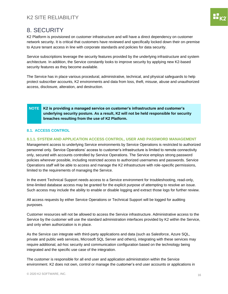# <span id="page-16-0"></span>8. SECURITY

K2 Platform is provisioned on customer infrastructure and will have a direct dependency on customer network security. It is critical that customers have reviewed and specifically locked down their on-premise to Azure tenant access in line with corporate standards and policies for data security.

Service subscriptions leverage the security features provided by the underlying infrastructure and system architecture. In addition, the Service constantly looks to improve security by applying new K2-based security features as they become available.

The Service has in place various procedural, administrative, technical, and physical safeguards to help protect subscriber accounts, K2 environments and data from loss, theft, misuse, abuse and unauthorized access, disclosure, alteration, and destruction.

#### **NOTE K2 is providing a managed service on customer's infrastructure and customer's underlying security posture. As a result, K2 will not be held responsible for security breaches resulting from the use of K2 Platform.**

#### <span id="page-16-1"></span>**8.1. ACCESS CONTROL**

#### <span id="page-16-2"></span>**8.1.1. SYSTEM AND APPLICATION ACCESS CONTROL, USER AND PASSWORD MANAGEMENT**

Management access to underlying Service environments by Service Operations is restricted to authorized personnel only. Service Operations' access to customer's infrastructure is limited to remote connectivity only, secured with accounts controlled by Service Operations. The Service employs strong password policies wherever possible, including restricted access to authorized usernames and passwords. Service Operations staff will be able to access and manage the K2 infrastructure with role-specific permissions, limited to the requirements of managing the Service.

In the event Technical Support needs access to a Service environment for troubleshooting, read-only, time-limited database access may be granted for the explicit purpose of attempting to resolve an issue. Such access may include the ability to enable or disable logging and extract those logs for further review.

All access requests by either Service Operations or Technical Support will be logged for auditing purposes.

Customer resources will not be allowed to access the Service infrastructure. Administrative access to the Service by the customer will use the standard administration interfaces provided by K2 within the Service, and only when authorization is in place.

As the Service can integrate with third-party applications and data (such as Salesforce, Azure SQL, private and public web services, Microsoft SQL Server and others), integrating with these services may require additional, ad-hoc security and communication configuration based on the technology being integrated and the specific use case of the integration.

The customer is responsible for all end user and application administration within the Service environment. K2 does not own, control or manage the customer's end user accounts or applications in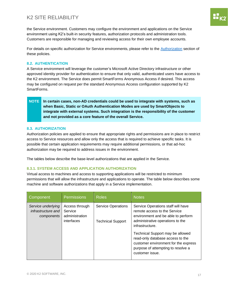the Service environment. Customers may configure the environment and applications on the Service environment using K2's built-in security features, authorization protocols and administration tools. Customers are responsible for managing and reviewing access for their own employee accounts.

For details on specific authorization for Service environments, please refer to the [Authorization](#page-17-1) section of these policies.

#### <span id="page-17-0"></span>**8.2. AUTHENTICATION**

A Service environment will leverage the customer's Microsoft Active Directory infrastructure or other approved identity provider for authentication to ensure that only valid, authenticated users have access to the K2 environment. The Service does permit SmartForms Anonymous Access if desired. This access may be configured on request per the standard Anonymous Access configuration supported by K2 SmartForms.

#### **NOTE In certain cases, non-AD credentials could be used to integrate with systems, such as when Basic, Static or OAuth Authentication Modes are used by SmartObjects to integrate with external systems. Such integration is the responsibility of the customer and not provided as a core feature of the overall Service.**

#### <span id="page-17-1"></span>**8.3. AUTHORIZATION**

Authorization policies are applied to ensure that appropriate rights and permissions are in place to restrict access to Service resources and allow only the access that is required to achieve specific tasks. It is possible that certain application requirements may require additional permissions, or that ad-hoc authorization may be required to address issues in the environment.

The tables below describe the base-level authorizations that are applied in the Service.

#### <span id="page-17-2"></span>**8.3.1. SYSTEM ACCESS AND APPLICATION AUTHORIZATION**

Virtual access to machines and access to supporting applications will be restricted to minimum permissions that will allow the infrastructure and applications to operate. The table below describes some machine and software authorizations that apply in a Service implementation.

| Component                                              | <b>Permissions</b>                                        | <b>Roles</b>                                          | <b>Notes</b>                                                                                                                                                          |
|--------------------------------------------------------|-----------------------------------------------------------|-------------------------------------------------------|-----------------------------------------------------------------------------------------------------------------------------------------------------------------------|
| Service underlying<br>infrastructure and<br>components | Access through<br>Service<br>administration<br>interfaces | <b>Service Operations</b><br><b>Technical Support</b> | Service Operations staff will have<br>remote access to the Service<br>environment and be able to perform<br>administrative operations to the<br>infrastructure.       |
|                                                        |                                                           |                                                       | Technical Support may be allowed<br>read-only database access to the<br>customer environment for the express<br>purpose of attempting to resolve a<br>customer issue. |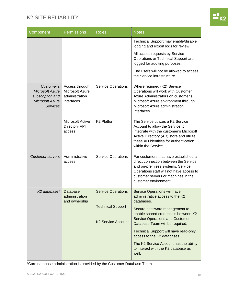

| Component                                                                                             | <b>Permissions</b>                                                | <b>Roles</b>                                          | <b>Notes</b>                                                                                                                                                                                                                   |
|-------------------------------------------------------------------------------------------------------|-------------------------------------------------------------------|-------------------------------------------------------|--------------------------------------------------------------------------------------------------------------------------------------------------------------------------------------------------------------------------------|
|                                                                                                       |                                                                   |                                                       | Technical Support may enable/disable<br>logging and export logs for review.                                                                                                                                                    |
|                                                                                                       |                                                                   |                                                       | All access requests by Service<br>Operations or Technical Support are<br>logged for auditing purposes.                                                                                                                         |
|                                                                                                       |                                                                   |                                                       | End users will not be allowed to access<br>the Service infrastructure.                                                                                                                                                         |
| Customer's<br><b>Microsoft Azure</b><br>subscription and<br><b>Microsoft Azure</b><br><b>Services</b> | Access through<br>Microsoft Azure<br>administration<br>interfaces | <b>Service Operations</b>                             | Where required (K2) Service<br>Operations will work with Customer<br>Azure Administrators on customer's<br>Microsoft Azure environment through<br>Microsoft Azure administration<br>interfaces.                                |
|                                                                                                       | <b>Microsoft Active</b><br><b>Directory API</b><br>access         | K2 Platform                                           | The Service utilizes a K2 Service<br>Account to allow the Service to<br>integrate with the customer's Microsoft<br>Active Directory (AD) store and utilize<br>these AD identities for authentication<br>within the Service.    |
| <b>Customer servers</b>                                                                               | Administrative<br>access                                          | <b>Service Operations</b>                             | For customers that have established a<br>direct connection between the Service<br>and on-premises systems, Service<br>Operations staff will not have access to<br>customer servers or machines in the<br>customer environment. |
| K <sub>2</sub> database* Database                                                                     | administration<br>and ownership                                   | <b>Service Operations</b>                             | <b>Service Operations will have</b><br>administrative access to the K2<br>databases.                                                                                                                                           |
|                                                                                                       |                                                                   | <b>Technical Support</b><br><b>K2 Service Account</b> | Secure password management to<br>enable shared credentials between K2<br><b>Service Operations and Customer</b>                                                                                                                |
|                                                                                                       |                                                                   |                                                       | Database Team will be required.<br><b>Technical Support will have read-only</b><br>access to the K2 databases.                                                                                                                 |
|                                                                                                       |                                                                   |                                                       | The K2 Service Account has the ability<br>to interact with the K2 database as<br>well.                                                                                                                                         |

\*Core database administration is provided by the Customer Database Team.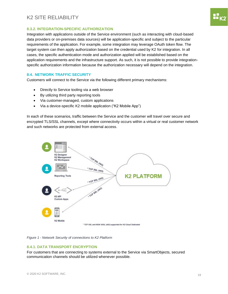

#### <span id="page-19-0"></span>**8.3.2. INTEGRATION-SPECIFIC AUTHORIZATION**

Integration with applications outside of the Service environment (such as interacting with cloud-based data providers or on-premises data sources) will be application-specific and subject to the particular requirements of the application. For example, some integration may leverage OAuth token flow. The target system can then apply authorization based on the credential used by K2 for integration. In all cases, the specific authentication mode and authorization applied will be established based on the application requirements and the infrastructure support. As such, it is not possible to provide integrationspecific authorization information because the authorization necessary will depend on the integration.

#### <span id="page-19-1"></span>**8.4. NETWORK TRAFFIC SECURITY**

Customers will connect to the Service via the following different primary mechanisms:

- Directly to Service tooling via a web browser
- By utilizing third party reporting tools
- Via customer-managed, custom applications
- Via a device-specific K2 mobile application ("K2 Mobile App")

In each of these scenarios, traffic between the Service and the customer will travel over secure and encrypted TLS/SSL channels, except where connectivity occurs within a virtual or real customer network and such networks are protected from external access.



*Figure 1 - Network Security of connections to K2 Platform*

#### <span id="page-19-2"></span>**8.4.1. DATA TRANSPORT ENCRYPTION**

For customers that are connecting to systems external to the Service via SmartObjects, secured communication channels should be utilized whenever possible.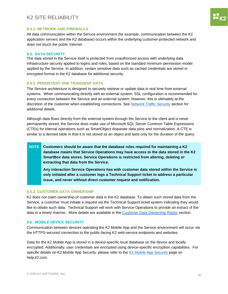#### <span id="page-20-0"></span>**8.4.2. NETWORK AND FIREWALLS**

All data communication within the Service environment (for example, communication between the K2 application servers and the K2 database) occurs within the underlying customer-protected network and does not touch the public Internet.

#### <span id="page-20-1"></span>**8.5. DATA SECURITY**

The data stored in the Service itself is protected from unauthorized access with underlying data infrastructure security applied to logins and roles, based on the standard minimum-permission model applied by the Service. In addition, certain sensitive data such as cached credentials are stored in encrypted format in the K2 database for additional security.

#### <span id="page-20-2"></span>**8.5.1. PERSISTENT AND TRANSIENT DATA**

The Service architecture is designed to securely retrieve or update data in real time from external systems. When communicating directly with an external system, SSL configuration is recommended for every connection between the Service and an external system; however, this is ultimately at the discretion of the customer when establishing connections. See [Network Traffic Security](#page-19-1) section for additional details.

Although data flows directly from the external system through the Service to the client and is never permanently stored, the Service does make use of Microsoft SQL Server Common Table Expressions (CTEs) for internal operations such as SmartObject disparate data joins and normalization. A CTE is similar to a derived table in that it is not stored as an object and lasts only for the duration of the query.

**NOTE Customers should be aware that the database roles required for maintaining a K2 database means that Service Operations may have access to the data stored in the K2 SmartBox data stores. Service Operations is restricted from altering, deleting or extracting that data from the Service.**

**Any interaction Service Operations has with customer data stored within the Service is only initiated after a customer logs a Technical Support ticket to address a particular issue, and never without direct customer request and notification.**

#### <span id="page-20-3"></span>**8.5.2. CUSTOMER DATA OWNERSHIP**

K2 does not claim ownership of customer data in the K2 database. To obtain such stored data from the Service, a customer must initiate a request via the Technical Support ticket system indicating they would like to obtain such data. Technical Support will work with Service Operations to provide an extract of the data in a timely manner. More details are available in the [Customer Data Ownership Rights](#page-24-0) section.

#### <span id="page-20-4"></span>**8.6. MOBILE DEVICE SECURITY**

Communication between devices operating the K2 Mobile App and the Service environment will occur via the HTTPS-secured connection to the public-facing K2 web-service endpoints and websites.

Data for the K2 Mobile App is stored in a device-specific local database on the device and locally encrypted. Additionally, user credentials are encrypted using device-specific encryption capabilities. For specific details on [K2 Mobile App Security](#page-20-4), please refer to the K2 Mobile App Security page on help.k2.com.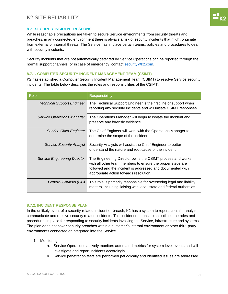#### <span id="page-21-0"></span>**8.7. SECURITY INCIDENT RESPONSE**

While reasonable precautions are taken to secure Service environments from security threats and breaches, in any connected environment there is always a risk of security incidents that might originate from external or internal threats. The Service has in place certain teams, policies and procedures to deal with security incidents.

Security incidents that are not automatically detected by Service Operations can be reported through the normal support channels, or in case of emergency, contact [security@k2.com.](mailto:security@k2.com)

#### <span id="page-21-1"></span>**8.7.1. COMPUTER SECURITY INCIDENT MANAGEMENT TEAM (CSIMT)**

K2 has established a Computer Security Incident Management Team (CSIMT) to resolve Service security incidents. The table below describes the roles and responsibilities of the CSIMT:

| Role                                | Responsibility                                                                                                                                                                                                                  |
|-------------------------------------|---------------------------------------------------------------------------------------------------------------------------------------------------------------------------------------------------------------------------------|
| <b>Technical Support Engineer</b>   | The Technical Support Engineer is the first line of support when<br>reporting any security incidents and will initiate CSIMT responses.                                                                                         |
| Service Operations Manager          | The Operations Manager will begin to isolate the incident and<br>preserve any forensic evidence.                                                                                                                                |
| Service Chief Engineer              | The Chief Engineer will work with the Operations Manager to<br>determine the scope of the incident.                                                                                                                             |
| <b>Service Security Analyst</b>     | Security Analysts will assist the Chief Engineer to better<br>understand the nature and root cause of the incident.                                                                                                             |
| <b>Service Engineering Director</b> | The Engineering Director owns the CSIMT process and works<br>with all other team members to ensure the proper steps are<br>followed and the incident is addressed and documented with<br>appropriate action towards resolution. |
| General Counsel (GC)                | This role is primarily responsible for overseeing legal and liability<br>matters, including liaising with local, state and federal authorities.                                                                                 |

#### <span id="page-21-2"></span>**8.7.2. INCIDENT RESPONSE PLAN**

In the unlikely event of a security-related incident or breach, K2 has a system to report, contain, analyze, communicate and resolve security related incidents. This incident response plan outlines the roles and procedures in place for responding to security incidents involving the Service, infrastructure and systems. The plan does not cover security breaches within a customer's internal environment or other third-party environments connected or integrated into the Service.

- 1. Monitoring
	- a. Service Operations actively monitors automated metrics for system level events and will investigate and report incidents accordingly.
	- b. Service penetration tests are performed periodically and identified issues are addressed.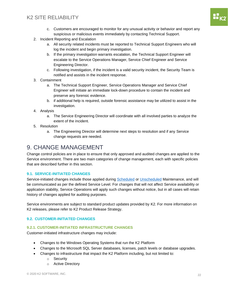- c. Customers are encouraged to monitor for any unusual activity or behavior and report any suspicious or malicious events immediately by contacting Technical Support.
- 2. Incident Reporting and Escalation
	- a. All security related incidents must be reported to Technical Support Engineers who will log the incident and begin primary investigation.
	- b. If the primary investigation warrants escalation, the Technical Support Engineer will escalate to the Service Operations Manager, Service Chief Engineer and Service Engineering Director.
	- c. Following investigation, if the incident is a valid security incident, the Security Team is notified and assists in the incident response.
- 3. Containment
	- a. The Technical Support Engineer, Service Operations Manager and Service Chief Engineer will initiate an immediate lock-down procedure to contain the incident and preserve any forensic evidence.
	- b. if additional help is required, outside forensic assistance may be utilized to assist in the investigation.
- 4. Analysis
	- a. The Service Engineering Director will coordinate with all involved parties to analyze the extent of the incident.
- 5. Resolution
	- a. The Engineering Director will determine next steps to resolution and if any Service change requests are needed.

### <span id="page-22-0"></span>9. CHANGE MANAGEMENT

Change control policies are in place to ensure that only approved and audited changes are applied to the Service environment. There are two main categories of change management, each with specific policies that are described further in this section.

#### <span id="page-22-1"></span>**9.1. SERVICE-INITIATED CHANGES**

Service-initiated changes include those applied during [Scheduled](#page-13-7) o[r Unscheduled](#page-13-8) Maintenance, and will be communicated as per the defined Service Level. For changes that will not affect Service availability or application stability, Service Operations will apply such changes without notice, but in all cases will retain history of changes applied for auditing purposes.

Service environments are subject to standard product updates provided by K2. For more information on K2 releases, please refer to K2 Product Release Strategy.

#### <span id="page-22-2"></span>**9.2. CUSTOMER-INITIATED CHANGES**

#### <span id="page-22-3"></span>**9.2.1. CUSTOMER-INITIATED INFRASTRUCTURE CHANGES**

Customer-initiated infrastructure changes may include:

- Changes to the Windows Operating Systems that run the K2 Platform
- Changes to the Microsoft SQL Server databases, licenses, patch levels or database upgrades.
- Changes to infrastructure that impact the K2 Platform including, but not limited to:
	- o Security
	- o Active Directory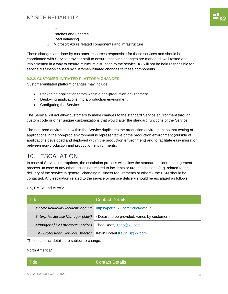- o IIS
- o Patches and updates
- o Load balancing
- o Microsoft Azure related components and infrastructure

These changes are done by customer resources responsible for these services and should be coordinated with Service provider staff to ensure that such changes are managed, well tested and implemented in a way to ensure minimum disruption to the service. K2 will not be held responsible for service disruption caused by customer-initiated changes to these components.

#### <span id="page-23-0"></span>**9.2.2. CUSTOMER-INITIATED PLATFORM CHANGES**

Customer-initiated platform changes may include:

- Packaging applications from within a non-production environment
- Deploying applications into a production environment
- Configuring the Service

The Service will not allow customers to make changes to the standard Service environment through custom code or other unique customizations that would alter the standard functions of the Service.

The non-prod environment within the Service duplicates the production environment so that testing of applications in the non-prod environment is representative of the production environment (outside of applications developed and deployed within the production environment) and to facilitate easy migration between non-production and production environments.

### <span id="page-23-1"></span>10. ESCALATION

In case of Service interruptions, the escalation process will follow the standard incident management process. In case of any other issues not related to incidents or urgent situations (e.g. related to the delivery of the service in general, changing business requirements or others), the ESM should be contacted. Any escalation related to the service or service delivery should be escalated as follows:

UK, EMEA and APAC\*

| <b>Title</b>                         | <b>Contact Details</b>                                                   |
|--------------------------------------|--------------------------------------------------------------------------|
| K2 Site Reliability Incident logging | https://portal.k2.com/ticket/default                                     |
| Enterprise Service Manager (ESM)     | <details be="" by="" customer="" provided,="" to="" varies=""></details> |
| Manager of K2 Enterprise Services    | Theo Roos, Theo@k2.com                                                   |
| K2 Professional Services Director    | Kevin Bryant Kevin.B@k2.com                                              |

\*These contact details are subject to change.

North America\*

Title Contact Details